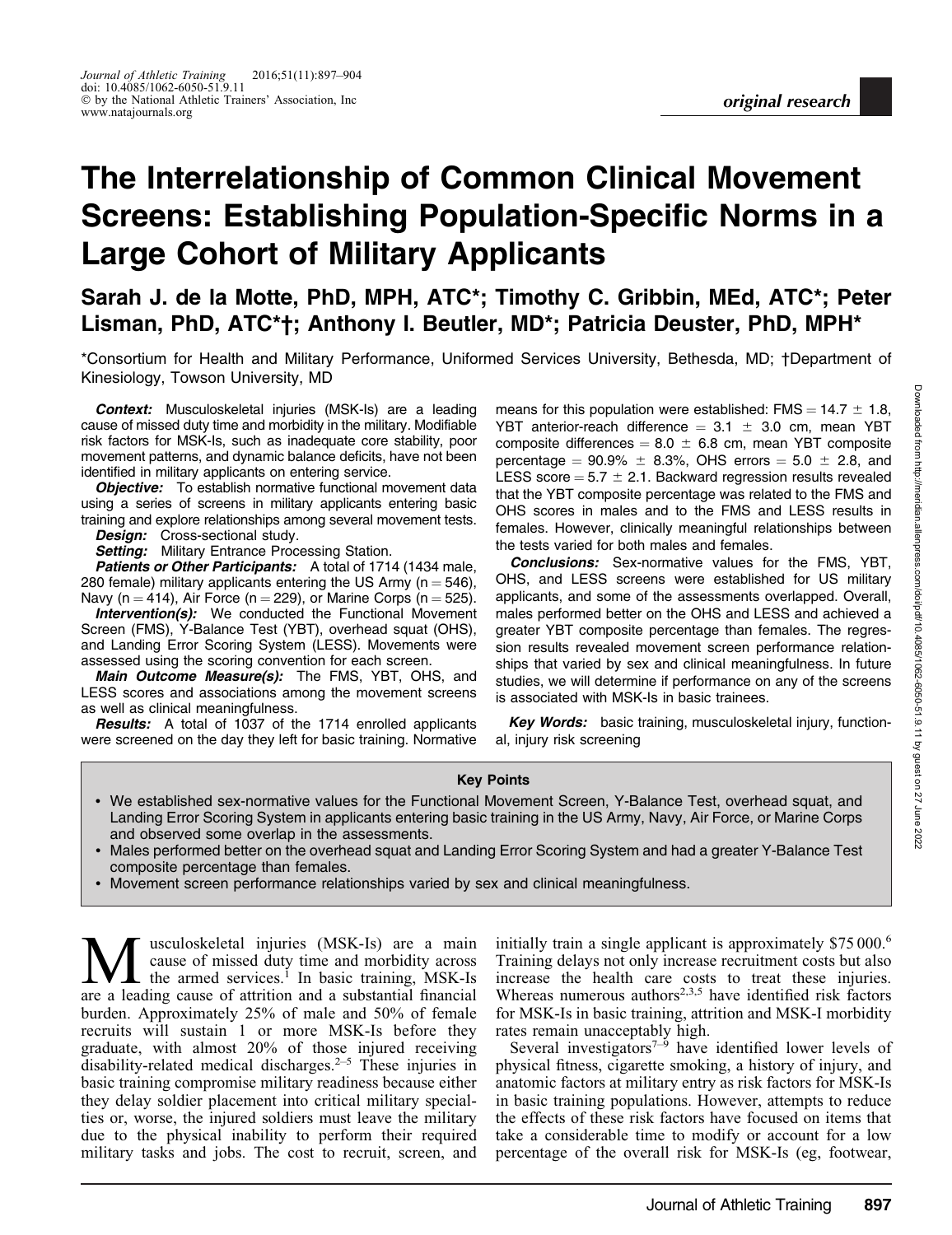# The Interrelationship of Common Clinical Movement Screens: Establishing Population-Specific Norms in a Large Cohort of Military Applicants

Sarah J. de la Motte, PhD, MPH, ATC\*; Timothy C. Gribbin, MEd, ATC\*; Peter Lisman, PhD, ATC\*†; Anthony I. Beutler, MD\*; Patricia Deuster, PhD, MPH\*

\*Consortium for Health and Military Performance, Uniformed Services University, Bethesda, MD; †Department of Kinesiology, Towson University, MD

Context: Musculoskeletal injuries (MSK-Is) are a leading cause of missed duty time and morbidity in the military. Modifiable risk factors for MSK-Is, such as inadequate core stability, poor movement patterns, and dynamic balance deficits, have not been identified in military applicants on entering service.

**Objective:** To establish normative functional movement data using a series of screens in military applicants entering basic training and explore relationships among several movement tests.

Design: Cross-sectional study.

**Setting:** Military Entrance Processing Station.

Patients or Other Participants: A total of 1714 (1434 male, 280 female) military applicants entering the US Army ( $n = 546$ ), Navy (n = 414), Air Force (n = 229), or Marine Corps (n = 525).

**Intervention(s):** We conducted the Functional Movement Screen (FMS), Y-Balance Test (YBT), overhead squat (OHS), and Landing Error Scoring System (LESS). Movements were assessed using the scoring convention for each screen.

Main Outcome Measure(s): The FMS, YBT, OHS, and LESS scores and associations among the movement screens as well as clinical meaningfulness.

**Results:** A total of 1037 of the 1714 enrolled applicants were screened on the day they left for basic training. Normative means for this population were established: FMS =  $14.7 \pm 1.8$ , YBT anterior-reach difference  $= 3.1 \pm 3.0$  cm, mean YBT composite differences  $= 8.0 \pm 6.8$  cm, mean YBT composite percentage =  $90.9\% \pm 8.3\%$ , OHS errors =  $5.0 \pm 2.8$ , and LESS score  $= 5.7 \pm 2.1$ . Backward regression results revealed that the YBT composite percentage was related to the FMS and OHS scores in males and to the FMS and LESS results in females. However, clinically meaningful relationships between the tests varied for both males and females.

**Conclusions:** Sex-normative values for the FMS, YBT, OHS, and LESS screens were established for US military applicants, and some of the assessments overlapped. Overall, males performed better on the OHS and LESS and achieved a greater YBT composite percentage than females. The regression results revealed movement screen performance relationships that varied by sex and clinical meaningfulness. In future studies, we will determine if performance on any of the screens is associated with MSK-Is in basic trainees.

Key Words: basic training, musculoskeletal injury, functional, injury risk screening

#### Key Points

- We established sex-normative values for the Functional Movement Screen, Y-Balance Test, overhead squat, and Landing Error Scoring System in applicants entering basic training in the US Army, Navy, Air Force, or Marine Corps and observed some overlap in the assessments.
- Males performed better on the overhead squat and Landing Error Scoring System and had a greater Y-Balance Test composite percentage than females.
- Movement screen performance relationships varied by sex and clinical meaningfulness.

**M** usculoskeletal injuries (MSK-Is) are a main<br>the armed services.<sup>1</sup> In basic training, MSK-Is<br>are a leading cause of attrition and a substantial financial cause of missed duty time and morbidity across are a leading cause of attrition and a substantial financial burden. Approximately 25% of male and 50% of female recruits will sustain 1 or more MSK-Is before they graduate, with almost 20% of those injured receiving disability-related medical discharges.<sup> $2-5$ </sup> These injuries in basic training compromise military readiness because either they delay soldier placement into critical military specialties or, worse, the injured soldiers must leave the military due to the physical inability to perform their required military tasks and jobs. The cost to recruit, screen, and

initially train a single applicant is approximately \$75 000.<sup>6</sup> Training delays not only increase recruitment costs but also increase the health care costs to treat these injuries. Whereas numerous authors<sup>2,3,5</sup> have identified risk factors for MSK-Is in basic training, attrition and MSK-I morbidity rates remain unacceptably high.

Several investigators<sup> $7-\frac{5}{9}$ </sup> have identified lower levels of physical fitness, cigarette smoking, a history of injury, and anatomic factors at military entry as risk factors for MSK-Is in basic training populations. However, attempts to reduce the effects of these risk factors have focused on items that take a considerable time to modify or account for a low percentage of the overall risk for MSK-Is (eg, footwear,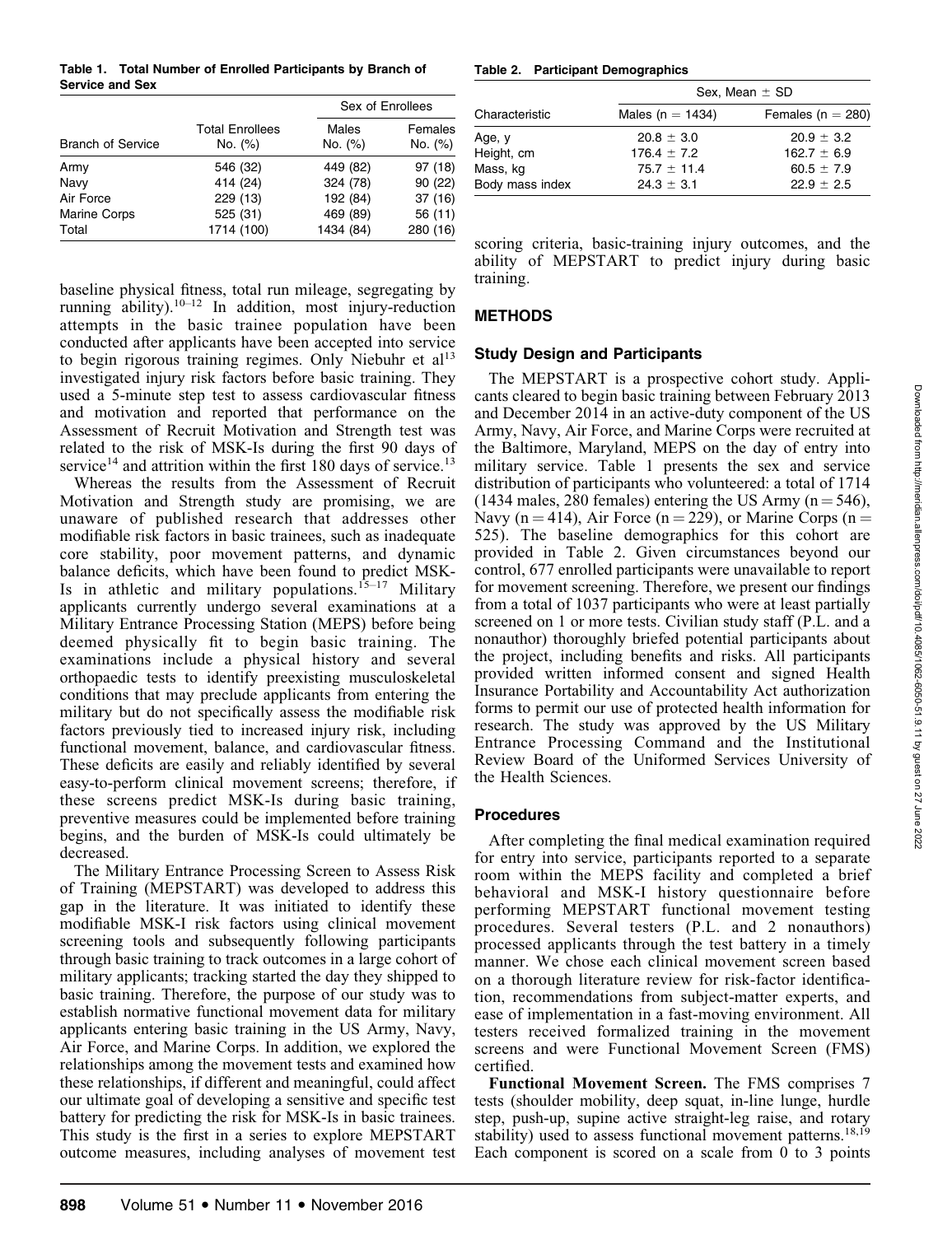Table 1. Total Number of Enrolled Participants by Branch of Service and Sex

|                          |                                   |                  | Sex of Enrollees   |  |  |  |
|--------------------------|-----------------------------------|------------------|--------------------|--|--|--|
| <b>Branch of Service</b> | <b>Total Enrollees</b><br>No. (%) | Males<br>No. (%) | Females<br>No. (%) |  |  |  |
| Army                     | 546 (32)                          | 449 (82)         | 97 (18)            |  |  |  |
| Navy                     | 414 (24)                          | 324 (78)         | 90(22)             |  |  |  |
| Air Force                | 229 (13)                          | 192 (84)         | 37(16)             |  |  |  |
| Marine Corps             | 525 (31)                          | 469 (89)         | 56 (11)            |  |  |  |
| Total                    | 1714 (100)                        | 1434 (84)        | 280 (16)           |  |  |  |

baseline physical fitness, total run mileage, segregating by running ability).<sup>10–12</sup> In addition, most injury-reduction attempts in the basic trainee population have been conducted after applicants have been accepted into service to begin rigorous training regimes. Only Niebuhr et  $al<sup>13</sup>$ investigated injury risk factors before basic training. They used a 5-minute step test to assess cardiovascular fitness and motivation and reported that performance on the Assessment of Recruit Motivation and Strength test was related to the risk of MSK-Is during the first 90 days of service<sup>14</sup> and attrition within the first 180 days of service.<sup>13</sup>

Whereas the results from the Assessment of Recruit Motivation and Strength study are promising, we are unaware of published research that addresses other modifiable risk factors in basic trainees, such as inadequate core stability, poor movement patterns, and dynamic balance deficits, which have been found to predict MSK-Is in athletic and military populations.<sup>15–17</sup> Military applicants currently undergo several examinations at a Military Entrance Processing Station (MEPS) before being deemed physically fit to begin basic training. The examinations include a physical history and several orthopaedic tests to identify preexisting musculoskeletal conditions that may preclude applicants from entering the military but do not specifically assess the modifiable risk factors previously tied to increased injury risk, including functional movement, balance, and cardiovascular fitness. These deficits are easily and reliably identified by several easy-to-perform clinical movement screens; therefore, if these screens predict MSK-Is during basic training, preventive measures could be implemented before training begins, and the burden of MSK-Is could ultimately be decreased.

The Military Entrance Processing Screen to Assess Risk of Training (MEPSTART) was developed to address this gap in the literature. It was initiated to identify these modifiable MSK-I risk factors using clinical movement screening tools and subsequently following participants through basic training to track outcomes in a large cohort of military applicants; tracking started the day they shipped to basic training. Therefore, the purpose of our study was to establish normative functional movement data for military applicants entering basic training in the US Army, Navy, Air Force, and Marine Corps. In addition, we explored the relationships among the movement tests and examined how these relationships, if different and meaningful, could affect our ultimate goal of developing a sensitive and specific test battery for predicting the risk for MSK-Is in basic trainees. This study is the first in a series to explore MEPSTART outcome measures, including analyses of movement test

Table 2. Participant Demographics

|                 | Sex, Mean $\pm$ SD   |                       |  |  |  |  |
|-----------------|----------------------|-----------------------|--|--|--|--|
| Characteristic  | Males ( $n = 1434$ ) | Females ( $n = 280$ ) |  |  |  |  |
| Age, y          | $20.8 \pm 3.0$       | $20.9 \pm 3.2$        |  |  |  |  |
| Height, cm      | $176.4 \pm 7.2$      | $162.7 \pm 6.9$       |  |  |  |  |
| Mass, kg        | $75.7 \pm 11.4$      | $60.5 \pm 7.9$        |  |  |  |  |
| Body mass index | $24.3 \pm 3.1$       | $22.9 \pm 2.5$        |  |  |  |  |

scoring criteria, basic-training injury outcomes, and the ability of MEPSTART to predict injury during basic training.

# METHODS

## Study Design and Participants

The MEPSTART is a prospective cohort study. Applicants cleared to begin basic training between February 2013 and December 2014 in an active-duty component of the US Army, Navy, Air Force, and Marine Corps were recruited at the Baltimore, Maryland, MEPS on the day of entry into military service. Table 1 presents the sex and service distribution of participants who volunteered: a total of 1714 (1434 males, 280 females) entering the US Army ( $n = 546$ ), Navy (n = 414), Air Force (n = 229), or Marine Corps (n = 525). The baseline demographics for this cohort are provided in Table 2. Given circumstances beyond our control, 677 enrolled participants were unavailable to report for movement screening. Therefore, we present our findings from a total of 1037 participants who were at least partially screened on 1 or more tests. Civilian study staff (P.L. and a nonauthor) thoroughly briefed potential participants about the project, including benefits and risks. All participants provided written informed consent and signed Health Insurance Portability and Accountability Act authorization forms to permit our use of protected health information for research. The study was approved by the US Military Entrance Processing Command and the Institutional Review Board of the Uniformed Services University of the Health Sciences.

# Procedures

After completing the final medical examination required for entry into service, participants reported to a separate room within the MEPS facility and completed a brief behavioral and MSK-I history questionnaire before performing MEPSTART functional movement testing procedures. Several testers (P.L. and 2 nonauthors) processed applicants through the test battery in a timely manner. We chose each clinical movement screen based on a thorough literature review for risk-factor identification, recommendations from subject-matter experts, and ease of implementation in a fast-moving environment. All testers received formalized training in the movement screens and were Functional Movement Screen (FMS) certified.

Functional Movement Screen. The FMS comprises 7 tests (shoulder mobility, deep squat, in-line lunge, hurdle step, push-up, supine active straight-leg raise, and rotary stability) used to assess functional movement patterns.<sup>18,19</sup> Each component is scored on a scale from 0 to 3 points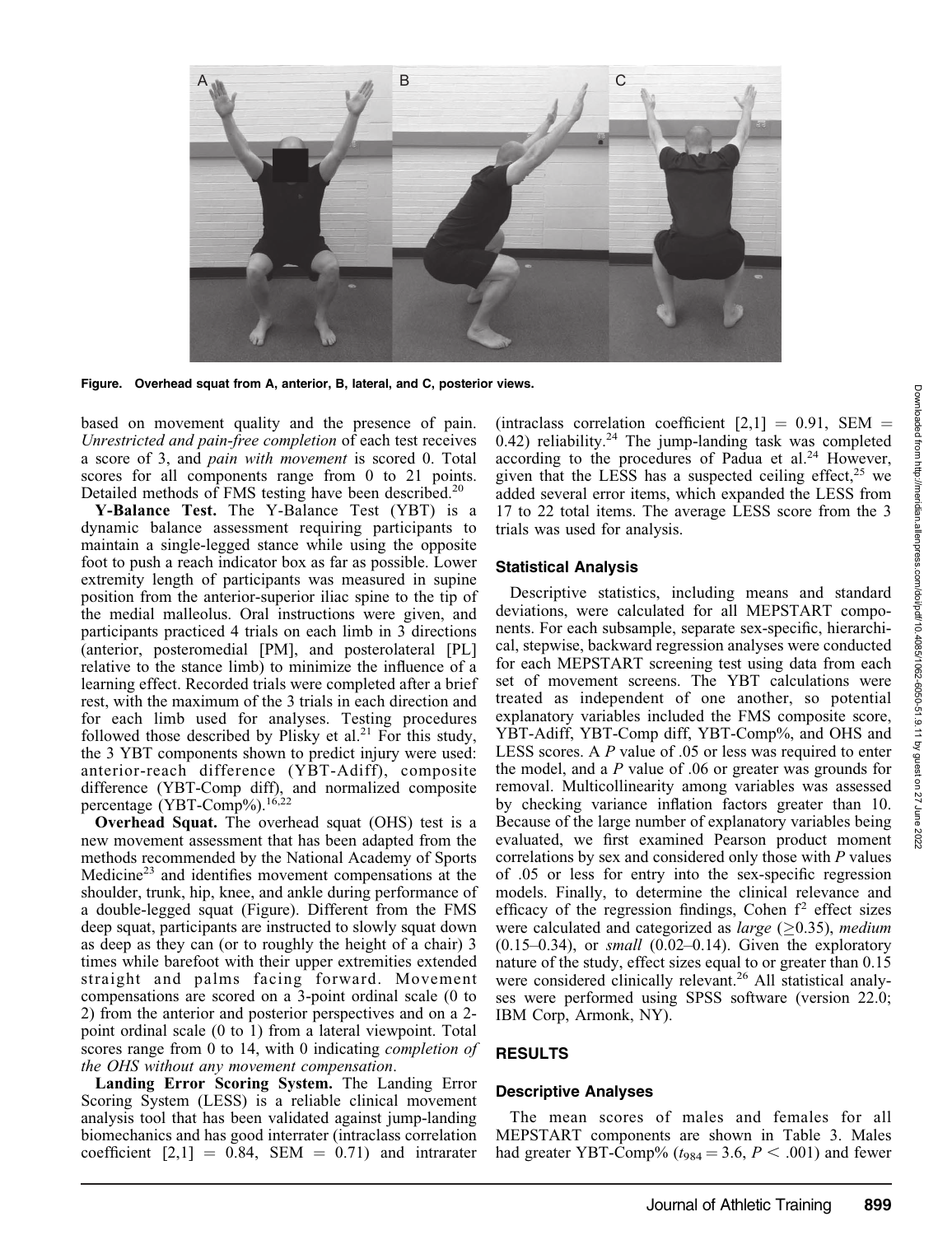

Figure. Overhead squat from A, anterior, B, lateral, and C, posterior views.

based on movement quality and the presence of pain. Unrestricted and pain-free completion of each test receives a score of 3, and pain with movement is scored 0. Total scores for all components range from 0 to 21 points. Detailed methods of FMS testing have been described.<sup>20</sup>

Y-Balance Test. The Y-Balance Test (YBT) is a dynamic balance assessment requiring participants to maintain a single-legged stance while using the opposite foot to push a reach indicator box as far as possible. Lower extremity length of participants was measured in supine position from the anterior-superior iliac spine to the tip of the medial malleolus. Oral instructions were given, and participants practiced 4 trials on each limb in 3 directions (anterior, posteromedial [PM], and posterolateral [PL] relative to the stance limb) to minimize the influence of a learning effect. Recorded trials were completed after a brief rest, with the maximum of the 3 trials in each direction and for each limb used for analyses. Testing procedures followed those described by Plisky et al.<sup>21</sup> For this study, the 3 YBT components shown to predict injury were used: anterior-reach difference (YBT-Adiff), composite difference (YBT-Comp diff), and normalized composite percentage (YBT-Comp%).<sup>16,22</sup>

Overhead Squat. The overhead squat (OHS) test is a new movement assessment that has been adapted from the methods recommended by the National Academy of Sports Medicine<sup>23</sup> and identifies movement compensations at the shoulder, trunk, hip, knee, and ankle during performance of a double-legged squat (Figure). Different from the FMS deep squat, participants are instructed to slowly squat down as deep as they can (or to roughly the height of a chair) 3 times while barefoot with their upper extremities extended straight and palms facing forward. Movement compensations are scored on a 3-point ordinal scale (0 to 2) from the anterior and posterior perspectives and on a 2 point ordinal scale (0 to 1) from a lateral viewpoint. Total scores range from 0 to 14, with 0 indicating *completion of* the OHS without any movement compensation.

Landing Error Scoring System. The Landing Error Scoring System (LESS) is a reliable clinical movement analysis tool that has been validated against jump-landing biomechanics and has good interrater (intraclass correlation coefficient  $[2,1] = 0.84$ , SEM = 0.71) and intrarater (intraclass correlation coefficient  $[2,1] = 0.91$ , SEM = 0.42) reliability. $24$  The jump-landing task was completed according to the procedures of Padua et al.<sup>24</sup> However, given that the LESS has a suspected ceiling effect, $25$  we added several error items, which expanded the LESS from 17 to 22 total items. The average LESS score from the 3 trials was used for analysis.

## Statistical Analysis

Descriptive statistics, including means and standard deviations, were calculated for all MEPSTART components. For each subsample, separate sex-specific, hierarchical, stepwise, backward regression analyses were conducted for each MEPSTART screening test using data from each set of movement screens. The YBT calculations were treated as independent of one another, so potential explanatory variables included the FMS composite score, YBT-Adiff, YBT-Comp diff, YBT-Comp%, and OHS and LESS scores. A P value of .05 or less was required to enter the model, and a P value of .06 or greater was grounds for removal. Multicollinearity among variables was assessed by checking variance inflation factors greater than 10. Because of the large number of explanatory variables being evaluated, we first examined Pearson product moment correlations by sex and considered only those with P values of .05 or less for entry into the sex-specific regression models. Finally, to determine the clinical relevance and efficacy of the regression findings, Cohen  $f<sup>2</sup>$  effect sizes were calculated and categorized as *large* ( $\geq$ 0.35), medium  $(0.15-0.34)$ , or *small*  $(0.02-0.14)$ . Given the exploratory nature of the study, effect sizes equal to or greater than 0.15 were considered clinically relevant.<sup>26</sup> All statistical analyses were performed using SPSS software (version 22.0; IBM Corp, Armonk, NY).

# RESULTS

# Descriptive Analyses

The mean scores of males and females for all MEPSTART components are shown in Table 3. Males had greater YBT-Comp% ( $t_{984} = 3.6$ ,  $P < .001$ ) and fewer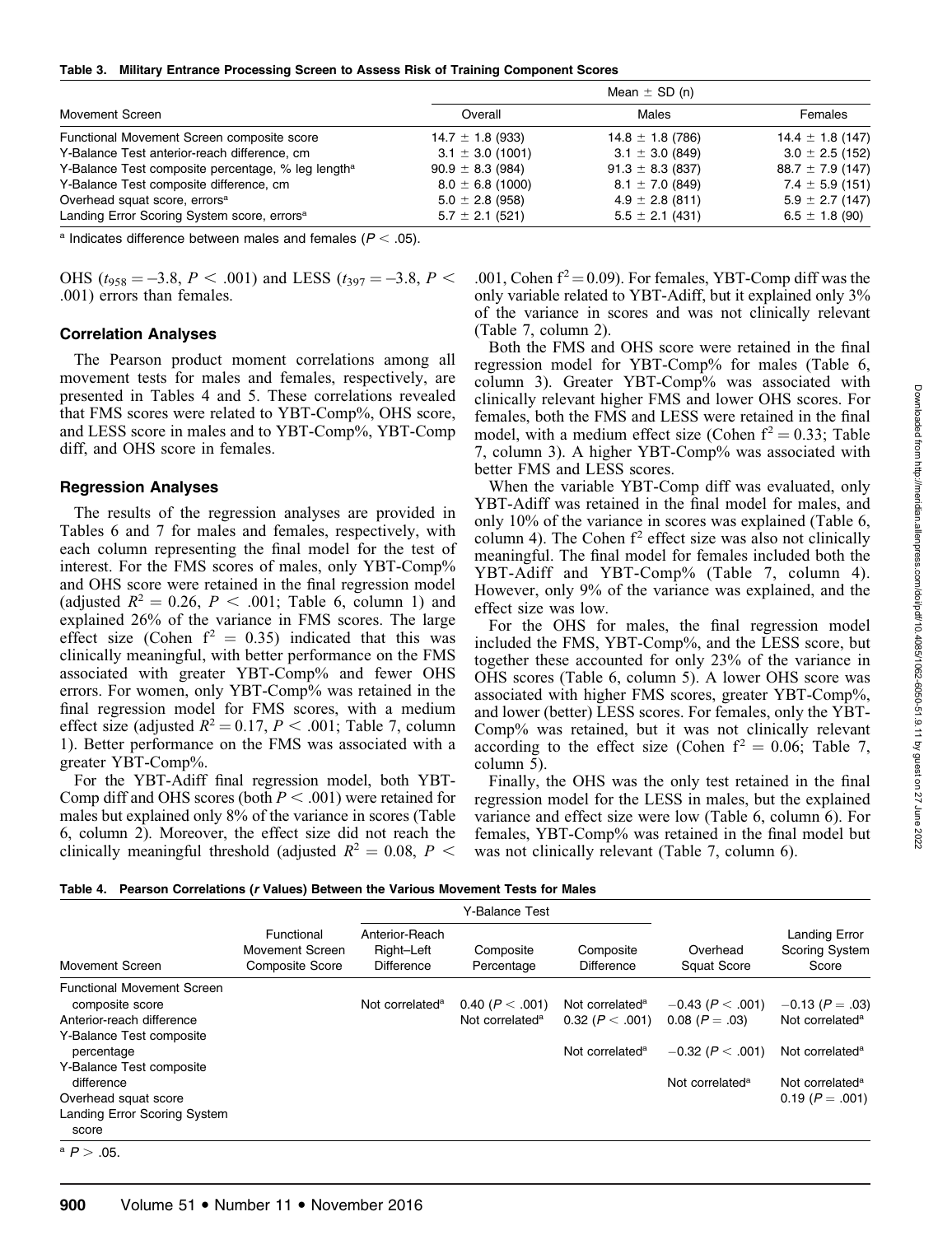|  |  |  |  |  |  |  |  | Table 3. Military Entrance Processing Screen to Assess Risk of Training Component Scores |  |
|--|--|--|--|--|--|--|--|------------------------------------------------------------------------------------------|--|
|--|--|--|--|--|--|--|--|------------------------------------------------------------------------------------------|--|

|                                                                | Mean $\pm$ SD (n)    |                      |                      |  |  |  |  |
|----------------------------------------------------------------|----------------------|----------------------|----------------------|--|--|--|--|
| Movement Screen                                                | Overall              | Males                | Females              |  |  |  |  |
| Functional Movement Screen composite score                     | $14.7 \pm 1.8$ (933) | $14.8 \pm 1.8$ (786) | $14.4 \pm 1.8$ (147) |  |  |  |  |
| Y-Balance Test anterior-reach difference, cm                   | $3.1 \pm 3.0$ (1001) | $3.1 \pm 3.0$ (849)  | $3.0 \pm 2.5$ (152)  |  |  |  |  |
| Y-Balance Test composite percentage, % leg length <sup>a</sup> | $90.9 \pm 8.3$ (984) | $91.3 \pm 8.3$ (837) | $88.7 \pm 7.9$ (147) |  |  |  |  |
| Y-Balance Test composite difference, cm                        | $8.0 \pm 6.8$ (1000) | $8.1 \pm 7.0$ (849)  | $7.4 \pm 5.9$ (151)  |  |  |  |  |
| Overhead squat score, errors <sup>a</sup>                      | $5.0 \pm 2.8$ (958)  | $4.9 \pm 2.8$ (811)  | $5.9 \pm 2.7$ (147)  |  |  |  |  |
| Landing Error Scoring System score, errors <sup>a</sup>        | $5.7 \pm 2.1$ (521)  | $5.5 \pm 2.1$ (431)  | $6.5 \pm 1.8$ (90)   |  |  |  |  |

<sup>a</sup> Indicates difference between males and females ( $P < .05$ ).

OHS ( $t_{958} = -3.8$ ,  $P < .001$ ) and LESS ( $t_{397} = -3.8$ ,  $P <$ .001) errors than females.

#### Correlation Analyses

The Pearson product moment correlations among all movement tests for males and females, respectively, are presented in Tables 4 and 5. These correlations revealed that FMS scores were related to YBT-Comp%, OHS score, and LESS score in males and to YBT-Comp%, YBT-Comp diff, and OHS score in females.

## Regression Analyses

The results of the regression analyses are provided in Tables 6 and 7 for males and females, respectively, with each column representing the final model for the test of interest. For the FMS scores of males, only YBT-Comp% and OHS score were retained in the final regression model (adjusted  $R^2 = 0.26$ ,  $P < .001$ ; Table 6, column 1) and explained 26% of the variance in FMS scores. The large effect size (Cohen  $f^2 = 0.35$ ) indicated that this was clinically meaningful, with better performance on the FMS associated with greater YBT-Comp% and fewer OHS errors. For women, only YBT-Comp% was retained in the final regression model for FMS scores, with a medium effect size (adjusted  $R^2 = 0.17$ ,  $P < .001$ ; Table 7, column 1). Better performance on the FMS was associated with a greater YBT-Comp%.

For the YBT-Adiff final regression model, both YBT-Comp diff and OHS scores (both  $P < .001$ ) were retained for males but explained only 8% of the variance in scores (Table 6, column 2). Moreover, the effect size did not reach the clinically meaningful threshold (adjusted  $R^2 = 0.08$ ,  $P <$ 

.001, Cohen  $f^2 = 0.09$ ). For females, YBT-Comp diff was the only variable related to YBT-Adiff, but it explained only 3% of the variance in scores and was not clinically relevant (Table 7, column 2).

Both the FMS and OHS score were retained in the final regression model for YBT-Comp% for males (Table 6, column 3). Greater YBT-Comp% was associated with clinically relevant higher FMS and lower OHS scores. For females, both the FMS and LESS were retained in the final model, with a medium effect size (Cohen  $f^2 = 0.33$ ; Table 7, column 3). A higher YBT-Comp% was associated with better FMS and LESS scores.

When the variable YBT-Comp diff was evaluated, only YBT-Adiff was retained in the final model for males, and only 10% of the variance in scores was explained (Table 6, column 4). The Cohen  $f^2$  effect size was also not clinically meaningful. The final model for females included both the YBT-Adiff and YBT-Comp% (Table 7, column 4). However, only 9% of the variance was explained, and the effect size was low.

For the OHS for males, the final regression model included the FMS, YBT-Comp%, and the LESS score, but together these accounted for only 23% of the variance in OHS scores (Table 6, column 5). A lower OHS score was associated with higher FMS scores, greater YBT-Comp%, and lower (better) LESS scores. For females, only the YBT-Comp% was retained, but it was not clinically relevant according to the effect size (Cohen  $f^2 = 0.06$ ; Table 7, column 5).

Finally, the OHS was the only test retained in the final regression model for the LESS in males, but the explained variance and effect size were low (Table 6, column 6). For females, YBT-Comp% was retained in the final model but was not clinically relevant (Table 7, column 6).

| Table 4. Pearson Correlations (r Values) Between the Various Movement Tests for Males |  |  |  |
|---------------------------------------------------------------------------------------|--|--|--|
|                                                                                       |  |  |  |

|                                                                                                                                                                                               |                                                         |                                                   | Y-Balance Test                                     |                                                                               |                                                                                                  | Landing Error<br><b>Scoring System</b><br>Score                                                                                     |  |
|-----------------------------------------------------------------------------------------------------------------------------------------------------------------------------------------------|---------------------------------------------------------|---------------------------------------------------|----------------------------------------------------|-------------------------------------------------------------------------------|--------------------------------------------------------------------------------------------------|-------------------------------------------------------------------------------------------------------------------------------------|--|
| <b>Movement Screen</b>                                                                                                                                                                        | Functional<br>Movement Screen<br><b>Composite Score</b> | Anterior-Reach<br>Right-Left<br><b>Difference</b> | Composite<br>Percentage                            | Composite<br><b>Difference</b>                                                | Overhead<br><b>Squat Score</b>                                                                   |                                                                                                                                     |  |
| <b>Functional Movement Screen</b><br>composite score<br>Anterior-reach difference<br>Y-Balance Test composite<br>percentage<br>Y-Balance Test composite<br>difference<br>Overhead squat score |                                                         | Not correlated <sup>a</sup>                       | 0.40 ( $P < .001$ )<br>Not correlated <sup>a</sup> | Not correlated <sup>a</sup><br>0.32 (P < .001)<br>Not correlated <sup>a</sup> | $-0.43$ ( $P < .001$ )<br>$0.08 (P=.03)$<br>$-0.32$ (P $< .001$ )<br>Not correlated <sup>a</sup> | $-0.13$ (P = .03)<br>Not correlated <sup>a</sup><br>Not correlated <sup>a</sup><br>Not correlated <sup>a</sup><br>$0.19 (P = .001)$ |  |
| <b>Landing Error Scoring System</b><br>score<br>$^{\circ}P > .05$ .                                                                                                                           |                                                         |                                                   |                                                    |                                                                               |                                                                                                  |                                                                                                                                     |  |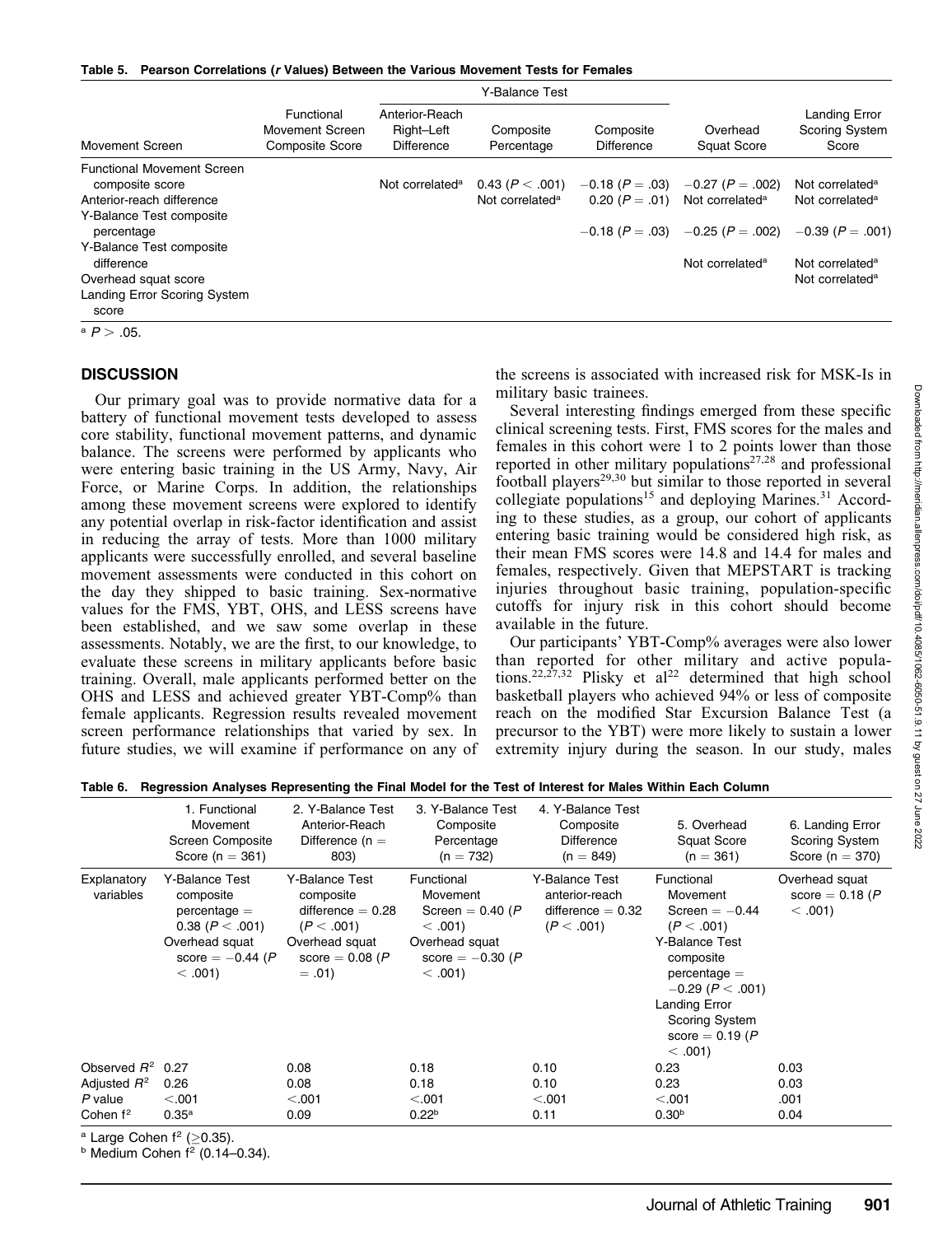|  | Table 5. Pearson Correlations (r Values) Between the Various Movement Tests for Females |  |  |  |  |  |  |
|--|-----------------------------------------------------------------------------------------|--|--|--|--|--|--|
|--|-----------------------------------------------------------------------------------------|--|--|--|--|--|--|

|                                                                                                                                                                                               |                                                         |                                                   | Y-Balance Test                                     |                                |                                                                                                                                                                                  |                                                                                                                          |  |
|-----------------------------------------------------------------------------------------------------------------------------------------------------------------------------------------------|---------------------------------------------------------|---------------------------------------------------|----------------------------------------------------|--------------------------------|----------------------------------------------------------------------------------------------------------------------------------------------------------------------------------|--------------------------------------------------------------------------------------------------------------------------|--|
| Movement Screen                                                                                                                                                                               | Functional<br>Movement Screen<br><b>Composite Score</b> | Anterior-Reach<br>Right-Left<br><b>Difference</b> | Composite<br>Percentage                            | Composite<br><b>Difference</b> | Overhead<br><b>Squat Score</b>                                                                                                                                                   | <b>Landing Error</b><br><b>Scoring System</b><br>Score                                                                   |  |
| <b>Functional Movement Screen</b><br>composite score<br>Anterior-reach difference<br>Y-Balance Test composite<br>percentage<br>Y-Balance Test composite<br>difference<br>Overhead squat score |                                                         | Not correlated <sup>a</sup>                       | 0.43 ( $P < .001$ )<br>Not correlated <sup>a</sup> |                                | $-0.18$ (P = .03) $-0.27$ (P = .002)<br>0.20 ( $P = .01$ ) Not correlated <sup>a</sup><br>$-0.18$ (P = .03) $-0.25$ (P = .002) $-0.39$ (P = .001)<br>Not correlated <sup>a</sup> | Not correlated <sup>a</sup><br>Not correlated <sup>a</sup><br>Not correlated <sup>a</sup><br>Not correlated <sup>a</sup> |  |
| <b>Landing Error Scoring System</b><br>score                                                                                                                                                  |                                                         |                                                   |                                                    |                                |                                                                                                                                                                                  |                                                                                                                          |  |

 $a \, P > .05$ .

#### **DISCUSSION**

Our primary goal was to provide normative data for a battery of functional movement tests developed to assess core stability, functional movement patterns, and dynamic balance. The screens were performed by applicants who were entering basic training in the US Army, Navy, Air Force, or Marine Corps. In addition, the relationships among these movement screens were explored to identify any potential overlap in risk-factor identification and assist in reducing the array of tests. More than 1000 military applicants were successfully enrolled, and several baseline movement assessments were conducted in this cohort on the day they shipped to basic training. Sex-normative values for the FMS, YBT, OHS, and LESS screens have been established, and we saw some overlap in these assessments. Notably, we are the first, to our knowledge, to evaluate these screens in military applicants before basic training. Overall, male applicants performed better on the OHS and LESS and achieved greater YBT-Comp% than female applicants. Regression results revealed movement screen performance relationships that varied by sex. In future studies, we will examine if performance on any of the screens is associated with increased risk for MSK-Is in military basic trainees.

Several interesting findings emerged from these specific clinical screening tests. First, FMS scores for the males and females in this cohort were 1 to 2 points lower than those reported in other military populations<sup>27,28</sup> and professional football players<sup>29,30</sup> but similar to those reported in several collegiate populations<sup>15</sup> and deploying Marines.<sup>31</sup> According to these studies, as a group, our cohort of applicants entering basic training would be considered high risk, as their mean FMS scores were 14.8 and 14.4 for males and females, respectively. Given that MEPSTART is tracking injuries throughout basic training, population-specific cutoffs for injury risk in this cohort should become available in the future.

Our participants' YBT-Comp% averages were also lower than reported for other military and active populations.<sup>22,27,32</sup> Plisky et al<sup>22</sup> determined that high school basketball players who achieved 94% or less of composite reach on the modified Star Excursion Balance Test (a precursor to the YBT) were more likely to sustain a lower extremity injury during the season. In our study, males

|                          | 1. Functional<br>Movement<br>Screen Composite<br>Score ( $n = 361$ )                                                    | 2. Y-Balance Test<br>Anterior-Reach<br>Difference $(n =$<br>803)                                                   | 3. Y-Balance Test<br>Composite<br>Percentage<br>$(n = 732)$                                                      | 4. Y-Balance Test<br>Composite<br>Difference<br>$(n = 849)$           | 5. Overhead<br>Squat Score<br>$(n = 361)$                                                                                                                                                               | 6. Landing Error<br>Scoring System<br>Score ( $n = 370$ ) |
|--------------------------|-------------------------------------------------------------------------------------------------------------------------|--------------------------------------------------------------------------------------------------------------------|------------------------------------------------------------------------------------------------------------------|-----------------------------------------------------------------------|---------------------------------------------------------------------------------------------------------------------------------------------------------------------------------------------------------|-----------------------------------------------------------|
| Explanatory<br>variables | Y-Balance Test<br>composite<br>$percentage =$<br>0.38 (P < .001)<br>Overhead squat<br>score $= -0.44$ (P)<br>$< .001$ ) | Y-Balance Test<br>composite<br>difference $= 0.28$<br>(P < .001)<br>Overhead squat<br>score = $0.08$ (P<br>$=.01)$ | Functional<br>Movement<br>Screen = $0.40(P)$<br>$< .001$ )<br>Overhead squat<br>score $= -0.30$ (P<br>$< .001$ ) | Y-Balance Test<br>anterior-reach<br>difference $= 0.32$<br>(P < .001) | Functional<br>Movement<br>Screen $=-0.44$<br>(P < .001)<br>Y-Balance Test<br>composite<br>$percentage =$<br>$-0.29$ (P $< .001$ )<br>Landing Error<br>Scoring System<br>score = $0.19(P)$<br>$< .001$ ) | Overhead squat<br>score = $0.18(P)$<br>< .001             |
| Observed $R^2$           | 0.27                                                                                                                    | 0.08                                                                                                               | 0.18                                                                                                             | 0.10                                                                  | 0.23                                                                                                                                                                                                    | 0.03                                                      |
| Adjusted $R^2$           | 0.26                                                                                                                    | 0.08                                                                                                               | 0.18                                                                                                             | 0.10                                                                  | 0.23                                                                                                                                                                                                    | 0.03                                                      |
| $P$ value                | < .001                                                                                                                  | < .001                                                                                                             | < .001                                                                                                           | < .001                                                                | < .001                                                                                                                                                                                                  | .001                                                      |
| Cohen $f2$               | $0.35^{\rm a}$                                                                                                          | 0.09                                                                                                               | 0.22 <sup>b</sup>                                                                                                | 0.11                                                                  | 0.30 <sup>b</sup>                                                                                                                                                                                       | 0.04                                                      |

Table 6. Regression Analyses Representing the Final Model for the Test of Interest for Males Within Each Column

 $a$  Large Cohen  $f^2$  ( $>$ 0.35).

 $b$  Medium Cohen  $f^2$  (0.14–0.34).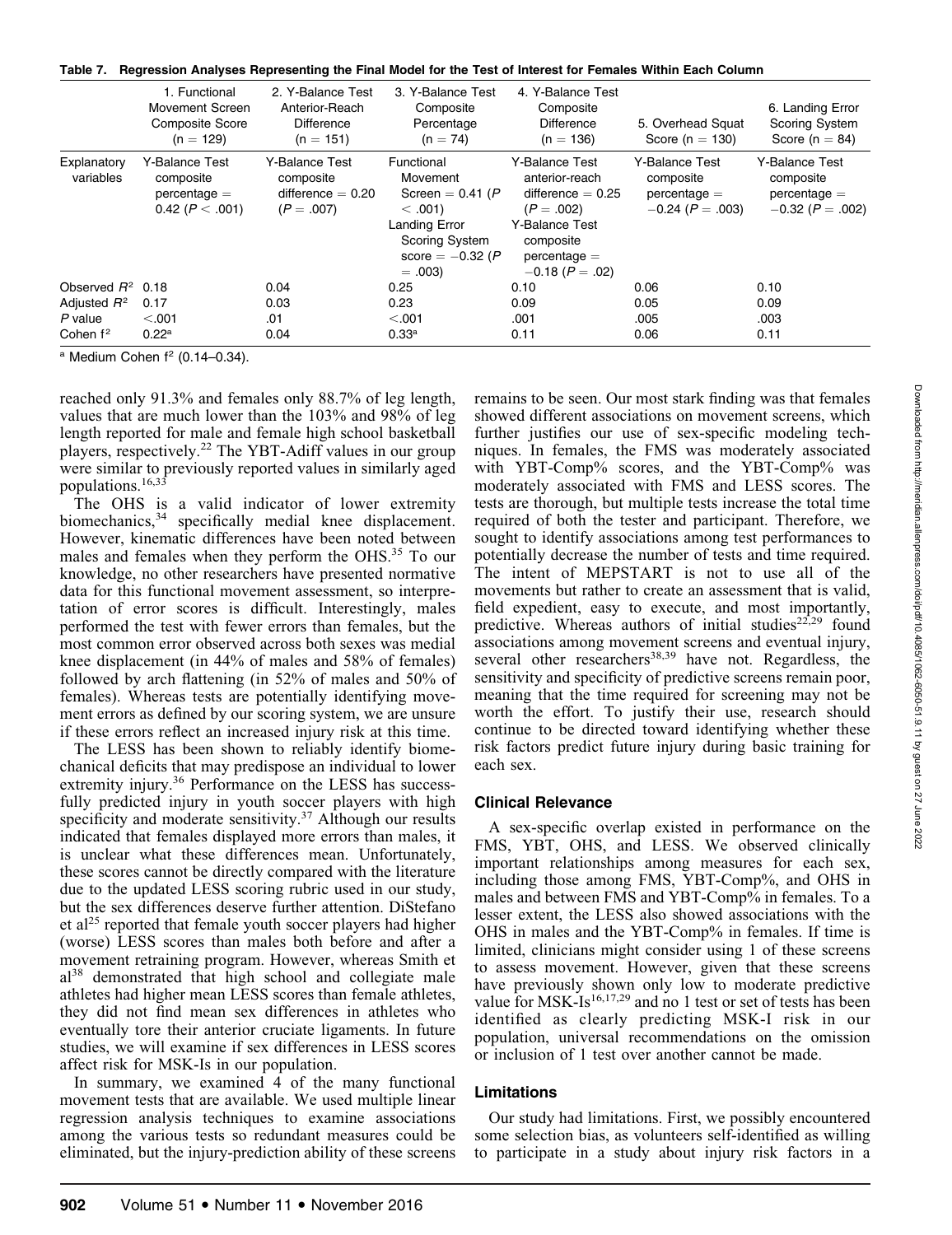|  |  |  | Table 7. Regression Analyses Representing the Final Model for the Test of Interest for Females Within Each Column |  |  |  |  |  |  |  |  |  |  |
|--|--|--|-------------------------------------------------------------------------------------------------------------------|--|--|--|--|--|--|--|--|--|--|
|--|--|--|-------------------------------------------------------------------------------------------------------------------|--|--|--|--|--|--|--|--|--|--|

|                          | 1. Functional<br>Movement Screen<br><b>Composite Score</b><br>$(n = 129)$ | 2. Y-Balance Test<br>Anterior-Reach<br><b>Difference</b><br>$(n = 151)$ | 3. Y-Balance Test<br>Composite<br>Percentage<br>$(n = 74)$                                                                             | 4. Y-Balance Test<br>Composite<br><b>Difference</b><br>$(n = 136)$                                                                          | 5. Overhead Squat<br>Score ( $n = 130$ )                            | 6. Landing Error<br><b>Scoring System</b><br>Score ( $n = 84$ )     |
|--------------------------|---------------------------------------------------------------------------|-------------------------------------------------------------------------|----------------------------------------------------------------------------------------------------------------------------------------|---------------------------------------------------------------------------------------------------------------------------------------------|---------------------------------------------------------------------|---------------------------------------------------------------------|
| Explanatory<br>variables | Y-Balance Test<br>composite<br>$percentage =$<br>0.42 ( $P < .001$ )      | Y-Balance Test<br>composite<br>difference $= 0.20$<br>$(P=.007)$        | Functional<br>Movement<br>Screen = $0.41(P)$<br>$< .001$ )<br>Landing Error<br><b>Scoring System</b><br>score $= -0.32$ (P<br>$=.003)$ | Y-Balance Test<br>anterior-reach<br>difference $= 0.25$<br>$(P=.002)$<br>Y-Balance Test<br>composite<br>$percentage =$<br>$-0.18$ (P = .02) | Y-Balance Test<br>composite<br>$percentage =$<br>$-0.24$ (P = .003) | Y-Balance Test<br>composite<br>$percentage =$<br>$-0.32$ (P = .002) |
| Observed $R^2$           | 0.18                                                                      | 0.04                                                                    | 0.25                                                                                                                                   | 0.10                                                                                                                                        | 0.06                                                                | 0.10                                                                |
| Adjusted $R^2$           | 0.17                                                                      | 0.03                                                                    | 0.23                                                                                                                                   | 0.09                                                                                                                                        | 0.05                                                                | 0.09                                                                |
| $P$ value                | < .001                                                                    | .01                                                                     | < .001                                                                                                                                 | .001                                                                                                                                        | .005                                                                | .003                                                                |
| Cohen $f^2$              | $0.22^{\rm a}$                                                            | 0.04                                                                    | 0.33a                                                                                                                                  | 0.11                                                                                                                                        | 0.06                                                                | 0.11                                                                |

 $a$  Medium Cohen  $f^2$  (0.14–0.34).

reached only 91.3% and females only 88.7% of leg length, values that are much lower than the 103% and 98% of leg length reported for male and female high school basketball players, respectively.<sup>22</sup> The YBT-Adiff values in our group were similar to previously reported values in similarly aged populations.16,33

The OHS is a valid indicator of lower extremity biomechanics,<sup>34</sup> specifically medial knee displacement. However, kinematic differences have been noted between males and females when they perform the OHS.<sup>35</sup> To our knowledge, no other researchers have presented normative data for this functional movement assessment, so interpretation of error scores is difficult. Interestingly, males performed the test with fewer errors than females, but the most common error observed across both sexes was medial knee displacement (in 44% of males and 58% of females) followed by arch flattening (in 52% of males and 50% of females). Whereas tests are potentially identifying movement errors as defined by our scoring system, we are unsure if these errors reflect an increased injury risk at this time.

The LESS has been shown to reliably identify biomechanical deficits that may predispose an individual to lower extremity injury.<sup>36</sup> Performance on the LESS has successfully predicted injury in youth soccer players with high specificity and moderate sensitivity.<sup>37</sup> Although our results indicated that females displayed more errors than males, it is unclear what these differences mean. Unfortunately, these scores cannot be directly compared with the literature due to the updated LESS scoring rubric used in our study, but the sex differences deserve further attention. DiStefano et al<sup>25</sup> reported that female youth soccer players had higher (worse) LESS scores than males both before and after a movement retraining program. However, whereas Smith et al<sup>38</sup> demonstrated that high school and collegiate male athletes had higher mean LESS scores than female athletes, they did not find mean sex differences in athletes who eventually tore their anterior cruciate ligaments. In future studies, we will examine if sex differences in LESS scores affect risk for MSK-Is in our population.

In summary, we examined 4 of the many functional movement tests that are available. We used multiple linear regression analysis techniques to examine associations among the various tests so redundant measures could be eliminated, but the injury-prediction ability of these screens

remains to be seen. Our most stark finding was that females showed different associations on movement screens, which further justifies our use of sex-specific modeling techniques. In females, the FMS was moderately associated with YBT-Comp% scores, and the YBT-Comp% was moderately associated with FMS and LESS scores. The tests are thorough, but multiple tests increase the total time required of both the tester and participant. Therefore, we sought to identify associations among test performances to potentially decrease the number of tests and time required. The intent of MEPSTART is not to use all of the movements but rather to create an assessment that is valid, field expedient, easy to execute, and most importantly, predictive. Whereas authors of initial studies<sup>22,29</sup> found associations among movement screens and eventual injury, several other researchers<sup>38,39</sup> have not. Regardless, the sensitivity and specificity of predictive screens remain poor, meaning that the time required for screening may not be worth the effort. To justify their use, research should continue to be directed toward identifying whether these risk factors predict future injury during basic training for each sex.

# Clinical Relevance

A sex-specific overlap existed in performance on the FMS, YBT, OHS, and LESS. We observed clinically important relationships among measures for each sex, including those among FMS, YBT-Comp%, and OHS in males and between FMS and YBT-Comp% in females. To a lesser extent, the LESS also showed associations with the OHS in males and the YBT-Comp% in females. If time is limited, clinicians might consider using 1 of these screens to assess movement. However, given that these screens have previously shown only low to moderate predictive value for MSK-Is<sup>16,17,29</sup> and no 1 test or set of tests has been identified as clearly predicting MSK-I risk in our population, universal recommendations on the omission or inclusion of 1 test over another cannot be made.

# Limitations

Our study had limitations. First, we possibly encountered some selection bias, as volunteers self-identified as willing to participate in a study about injury risk factors in a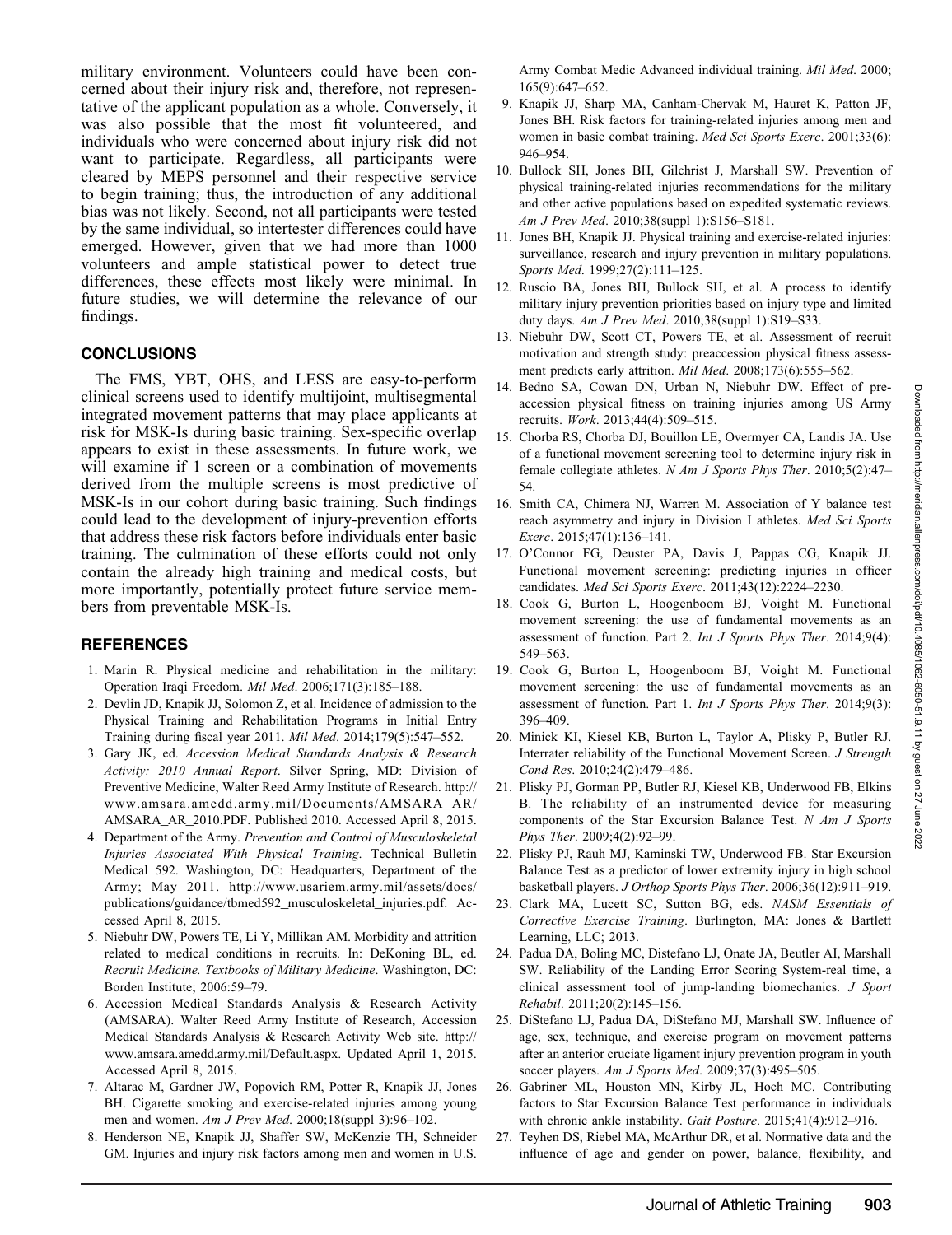military environment. Volunteers could have been concerned about their injury risk and, therefore, not representative of the applicant population as a whole. Conversely, it was also possible that the most fit volunteered, and individuals who were concerned about injury risk did not want to participate. Regardless, all participants were cleared by MEPS personnel and their respective service to begin training; thus, the introduction of any additional bias was not likely. Second, not all participants were tested by the same individual, so intertester differences could have emerged. However, given that we had more than 1000 volunteers and ample statistical power to detect true differences, these effects most likely were minimal. In future studies, we will determine the relevance of our findings.

## **CONCLUSIONS**

The FMS, YBT, OHS, and LESS are easy-to-perform clinical screens used to identify multijoint, multisegmental integrated movement patterns that may place applicants at risk for MSK-Is during basic training. Sex-specific overlap appears to exist in these assessments. In future work, we will examine if 1 screen or a combination of movements derived from the multiple screens is most predictive of MSK-Is in our cohort during basic training. Such findings could lead to the development of injury-prevention efforts that address these risk factors before individuals enter basic training. The culmination of these efforts could not only contain the already high training and medical costs, but more importantly, potentially protect future service members from preventable MSK-Is.

# REFERENCES

- 1. Marin R. Physical medicine and rehabilitation in the military: Operation Iraqi Freedom. Mil Med. 2006;171(3):185–188.
- 2. Devlin JD, Knapik JJ, Solomon Z, et al. Incidence of admission to the Physical Training and Rehabilitation Programs in Initial Entry Training during fiscal year 2011. Mil Med. 2014;179(5):547–552.
- 3. Gary JK, ed. Accession Medical Standards Analysis & Research Activity: 2010 Annual Report. Silver Spring, MD: Division of Preventive Medicine, Walter Reed Army Institute of Research. http:// www.amsara.amedd.army.mil/Documents/AMSARA\_AR/ AMSARA\_AR\_2010.PDF. Published 2010. Accessed April 8, 2015.
- 4. Department of the Army. Prevention and Control of Musculoskeletal Injuries Associated With Physical Training. Technical Bulletin Medical 592. Washington, DC: Headquarters, Department of the Army; May 2011. http://www.usariem.army.mil/assets/docs/ publications/guidance/tbmed592\_musculoskeletal\_injuries.pdf. Accessed April 8, 2015.
- 5. Niebuhr DW, Powers TE, Li Y, Millikan AM. Morbidity and attrition related to medical conditions in recruits. In: DeKoning BL, ed. Recruit Medicine. Textbooks of Military Medicine. Washington, DC: Borden Institute; 2006:59–79.
- 6. Accession Medical Standards Analysis & Research Activity (AMSARA). Walter Reed Army Institute of Research, Accession Medical Standards Analysis & Research Activity Web site. http:// www.amsara.amedd.army.mil/Default.aspx. Updated April 1, 2015. Accessed April 8, 2015.
- 7. Altarac M, Gardner JW, Popovich RM, Potter R, Knapik JJ, Jones BH. Cigarette smoking and exercise-related injuries among young men and women. Am J Prev Med. 2000;18(suppl 3):96-102.
- 8. Henderson NE, Knapik JJ, Shaffer SW, McKenzie TH, Schneider GM. Injuries and injury risk factors among men and women in U.S.

Army Combat Medic Advanced individual training. Mil Med. 2000; 165(9):647–652.

- 9. Knapik JJ, Sharp MA, Canham-Chervak M, Hauret K, Patton JF, Jones BH. Risk factors for training-related injuries among men and women in basic combat training. Med Sci Sports Exerc. 2001;33(6): 946–954.
- 10. Bullock SH, Jones BH, Gilchrist J, Marshall SW. Prevention of physical training-related injuries recommendations for the military and other active populations based on expedited systematic reviews. Am J Prev Med. 2010;38(suppl 1):S156–S181.
- 11. Jones BH, Knapik JJ. Physical training and exercise-related injuries: surveillance, research and injury prevention in military populations. Sports Med. 1999;27(2):111-125.
- 12. Ruscio BA, Jones BH, Bullock SH, et al. A process to identify military injury prevention priorities based on injury type and limited duty days. Am J Prev Med. 2010;38(suppl 1):S19-S33.
- 13. Niebuhr DW, Scott CT, Powers TE, et al. Assessment of recruit motivation and strength study: preaccession physical fitness assessment predicts early attrition. Mil Med. 2008;173(6):555–562.
- 14. Bedno SA, Cowan DN, Urban N, Niebuhr DW. Effect of preaccession physical fitness on training injuries among US Army recruits. Work. 2013;44(4):509–515.
- 15. Chorba RS, Chorba DJ, Bouillon LE, Overmyer CA, Landis JA. Use of a functional movement screening tool to determine injury risk in female collegiate athletes. N Am J Sports Phys Ther. 2010;5(2):47– 54.
- 16. Smith CA, Chimera NJ, Warren M. Association of Y balance test reach asymmetry and injury in Division I athletes. Med Sci Sports Exerc. 2015;47(1):136–141.
- 17. O'Connor FG, Deuster PA, Davis J, Pappas CG, Knapik JJ. Functional movement screening: predicting injuries in officer candidates. Med Sci Sports Exerc. 2011;43(12):2224–2230.
- 18. Cook G, Burton L, Hoogenboom BJ, Voight M. Functional movement screening: the use of fundamental movements as an assessment of function. Part 2. Int J Sports Phys Ther. 2014;9(4): 549–563.
- 19. Cook G, Burton L, Hoogenboom BJ, Voight M. Functional movement screening: the use of fundamental movements as an assessment of function. Part 1. Int J Sports Phys Ther. 2014;9(3): 396–409.
- 20. Minick KI, Kiesel KB, Burton L, Taylor A, Plisky P, Butler RJ. Interrater reliability of the Functional Movement Screen. J Strength Cond Res. 2010;24(2):479–486.
- 21. Plisky PJ, Gorman PP, Butler RJ, Kiesel KB, Underwood FB, Elkins B. The reliability of an instrumented device for measuring components of the Star Excursion Balance Test. N Am J Sports Phys Ther. 2009;4(2):92–99.
- 22. Plisky PJ, Rauh MJ, Kaminski TW, Underwood FB. Star Excursion Balance Test as a predictor of lower extremity injury in high school basketball players. J Orthop Sports Phys Ther. 2006;36(12):911–919.
- 23. Clark MA, Lucett SC, Sutton BG, eds. NASM Essentials of Corrective Exercise Training. Burlington, MA: Jones & Bartlett Learning, LLC; 2013.
- 24. Padua DA, Boling MC, Distefano LJ, Onate JA, Beutler AI, Marshall SW. Reliability of the Landing Error Scoring System-real time, a clinical assessment tool of jump-landing biomechanics. J Sport Rehabil. 2011;20(2):145–156.
- 25. DiStefano LJ, Padua DA, DiStefano MJ, Marshall SW. Influence of age, sex, technique, and exercise program on movement patterns after an anterior cruciate ligament injury prevention program in youth soccer players. Am J Sports Med. 2009;37(3):495-505.
- 26. Gabriner ML, Houston MN, Kirby JL, Hoch MC. Contributing factors to Star Excursion Balance Test performance in individuals with chronic ankle instability. Gait Posture. 2015;41(4):912-916.
- 27. Teyhen DS, Riebel MA, McArthur DR, et al. Normative data and the influence of age and gender on power, balance, flexibility, and